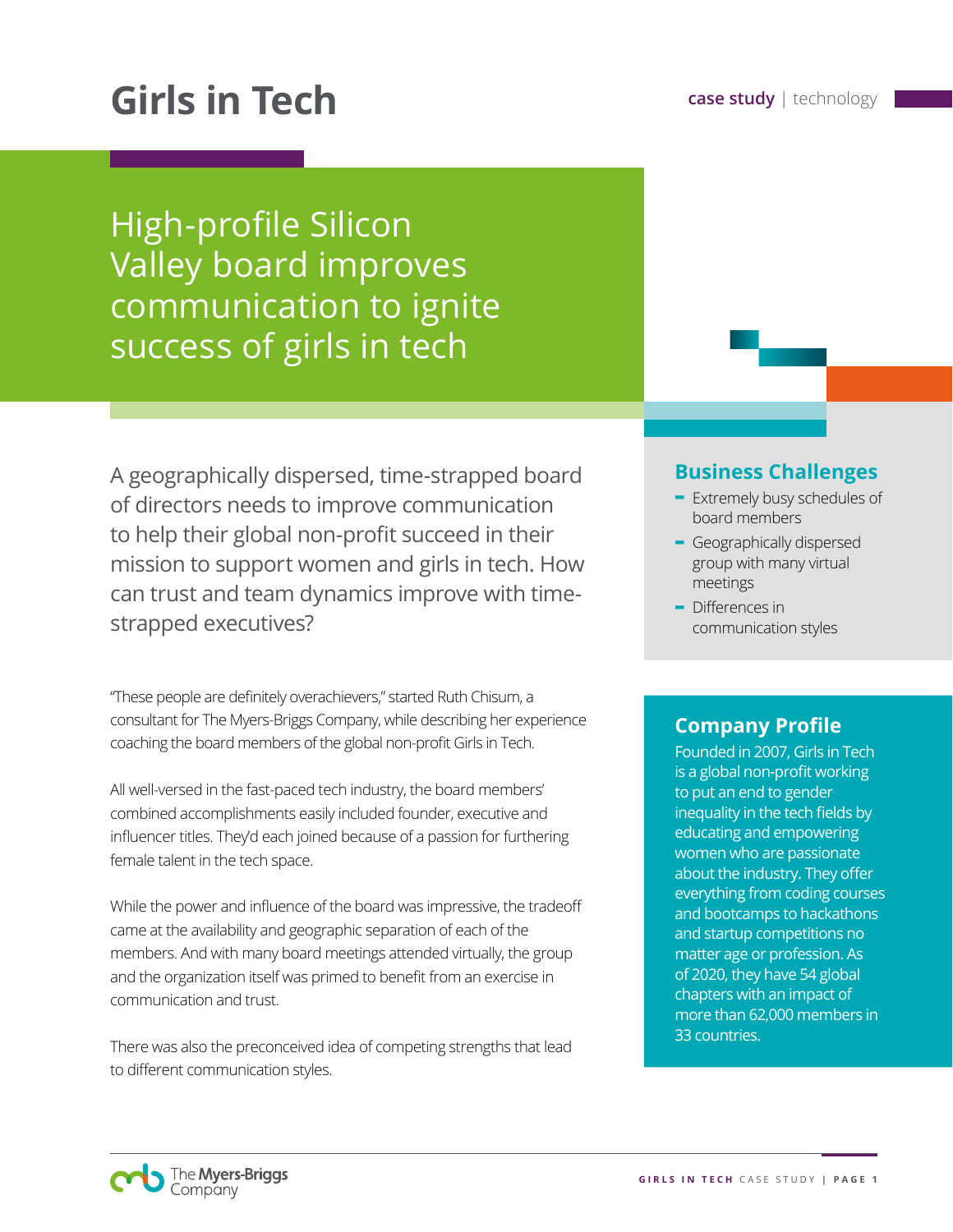# **Girls in Tech case study** | technology

High-profile Silicon Valley board improves communication to ignite success of girls in tech

A geographically dispersed, time-strapped board of directors needs to improve communication to help their global non-profit succeed in their mission to support women and girls in tech. How can trust and team dynamics improve with timestrapped executives?

"These people are definitely overachievers," started Ruth Chisum, a consultant for The Myers-Briggs Company, while describing her experience coaching the board members of the global non-profit Girls in Tech.

All well-versed in the fast-paced tech industry, the board members' combined accomplishments easily included founder, executive and influencer titles. They'd each joined because of a passion for furthering female talent in the tech space.

While the power and influence of the board was impressive, the tradeoff came at the availability and geographic separation of each of the members. And with many board meetings attended virtually, the group and the organization itself was primed to benefit from an exercise in communication and trust.

There was also the preconceived idea of competing strengths that lead to different communication styles.

#### **Business Challenges**

- **-** Extremely busy schedules of board members
- **-** Geographically dispersed group with many virtual meetings
- **-** Differences in communication styles

### **Company Profile**

Founded in 2007, Girls in Tech is a global non-profit working to put an end to gender inequality in the tech fields by educating and empowering women who are passionate about the industry. They offer everything from coding courses and bootcamps to hackathons and startup competitions no matter age or profession. As of 2020, they have 54 global chapters with an impact of more than 62,000 members in 33 countries.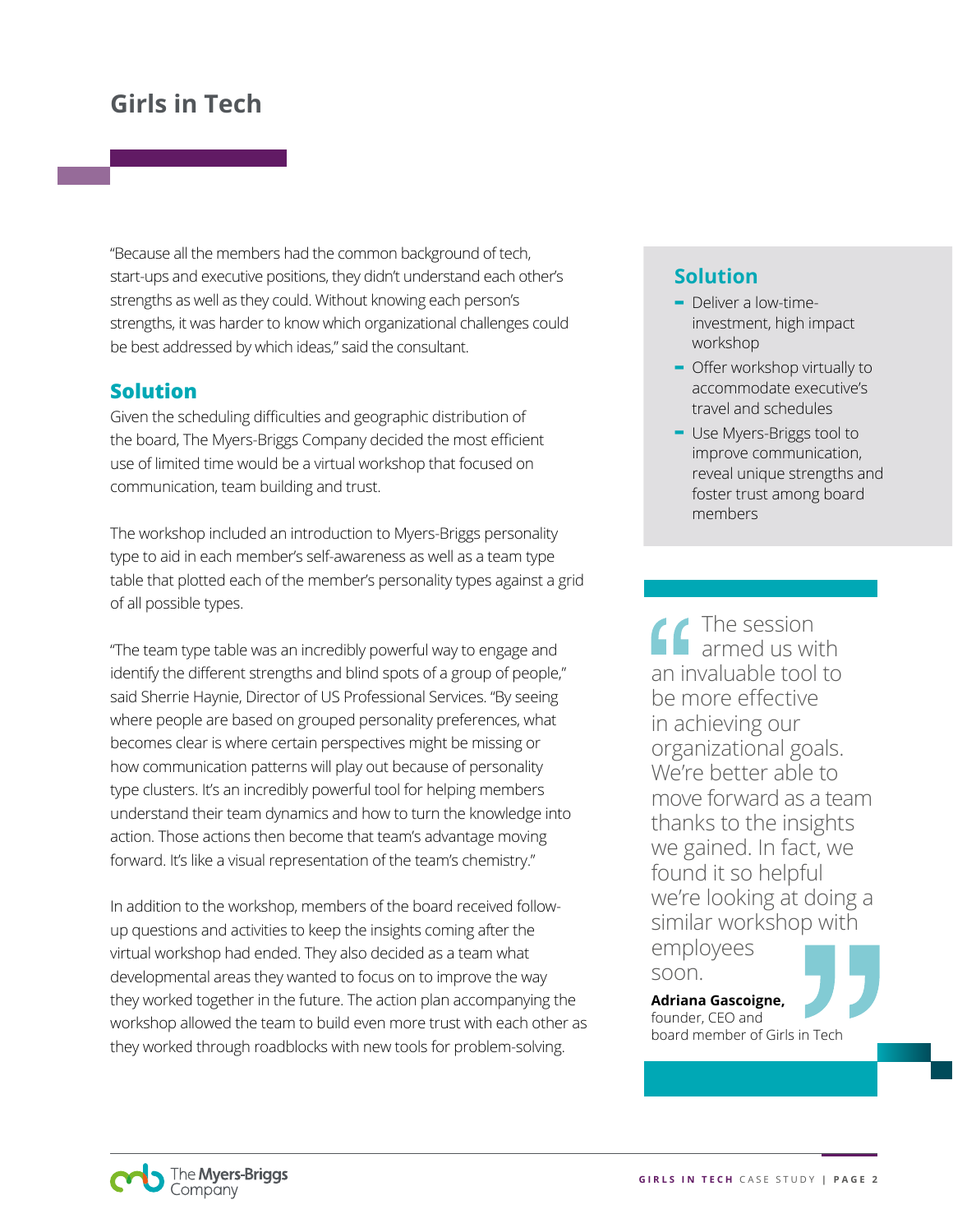"Because all the members had the common background of tech, start-ups and executive positions, they didn't understand each other's strengths as well as they could. Without knowing each person's strengths, it was harder to know which organizational challenges could be best addressed by which ideas," said the consultant.

### **Solution**

Given the scheduling difficulties and geographic distribution of the board, The Myers-Briggs Company decided the most efficient use of limited time would be a virtual workshop that focused on communication, team building and trust.

The workshop included an introduction to Myers-Briggs personality type to aid in each member's self-awareness as well as a team type table that plotted each of the member's personality types against a grid of all possible types.

"The team type table was an incredibly powerful way to engage and identify the different strengths and blind spots of a group of people," said Sherrie Haynie, Director of US Professional Services. "By seeing where people are based on grouped personality preferences, what becomes clear is where certain perspectives might be missing or how communication patterns will play out because of personality type clusters. It's an incredibly powerful tool for helping members understand their team dynamics and how to turn the knowledge into action. Those actions then become that team's advantage moving forward. It's like a visual representation of the team's chemistry."

In addition to the workshop, members of the board received followup questions and activities to keep the insights coming after the virtual workshop had ended. They also decided as a team what developmental areas they wanted to focus on to improve the way they worked together in the future. The action plan accompanying the workshop allowed the team to build even more trust with each other as they worked through roadblocks with new tools for problem-solving.

### **Solution**

- **-** Deliver a low-timeinvestment, high impact workshop
- **-** Offer workshop virtually to accommodate executive's travel and schedules
- **-** Use Myers-Briggs tool to improve communication, reveal unique strengths and foster trust among board members

The session armed us with an invaluable tool to be more effective in achieving our organizational goals. We're better able to move forward as a team thanks to the insights we gained. In fact, we found it so helpful we're looking at doing a similar workshop with employees

soon.

**Adriana Gascoigne,**  founder, CEO and board member of Girls in Tech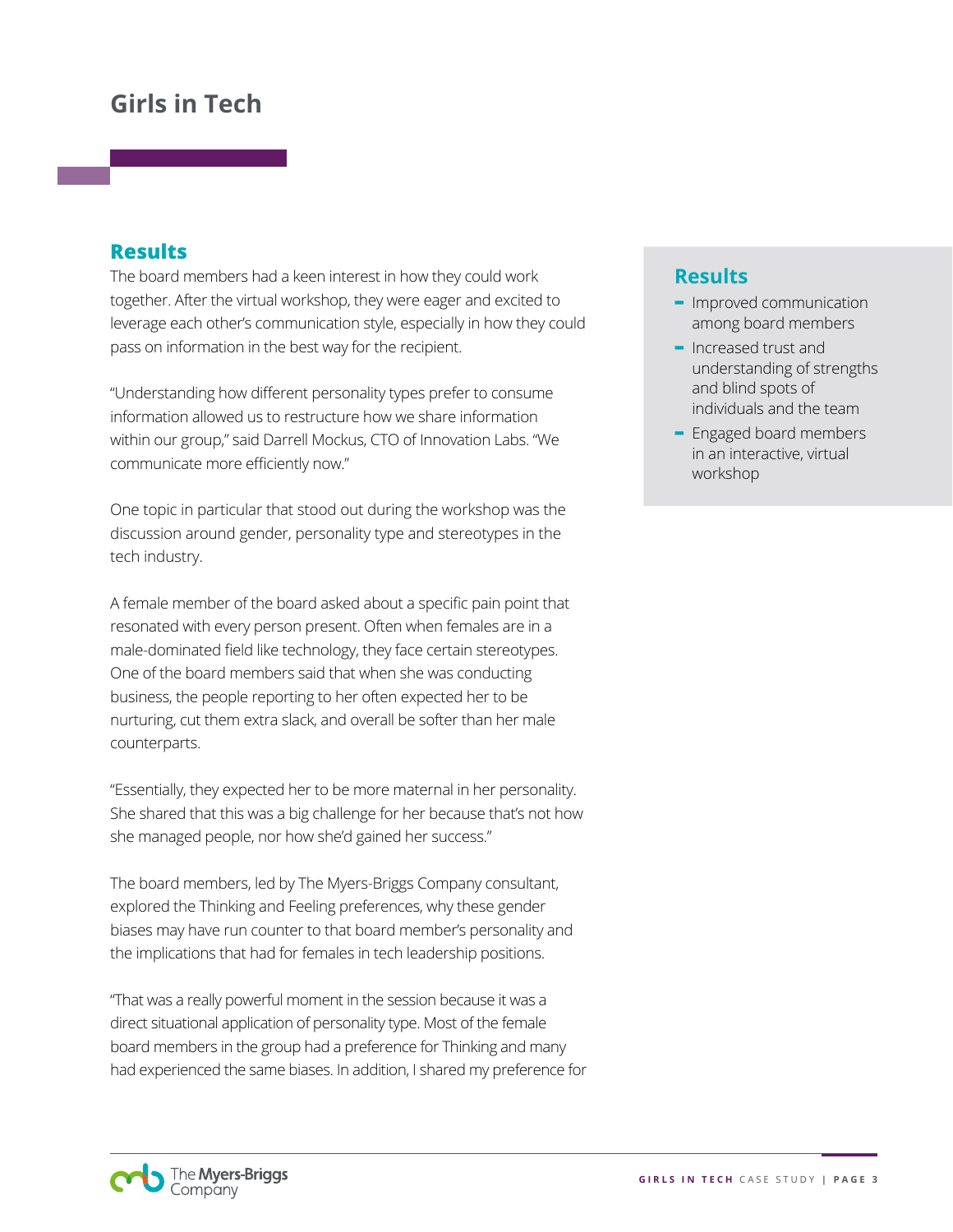#### **Results**

The board members had a keen interest in how they could work together. After the virtual workshop, they were eager and excited to leverage each other's communication style, especially in how they could pass on information in the best way for the recipient.

"Understanding how different personality types prefer to consume information allowed us to restructure how we share information within our group," said Darrell Mockus, CTO of Innovation Labs. "We communicate more efficiently now."

One topic in particular that stood out during the workshop was the discussion around gender, personality type and stereotypes in the tech industry.

A female member of the board asked about a specific pain point that resonated with every person present. Often when females are in a male-dominated field like technology, they face certain stereotypes. One of the board members said that when she was conducting business, the people reporting to her often expected her to be nurturing, cut them extra slack, and overall be softer than her male counterparts.

"Essentially, they expected her to be more maternal in her personality. She shared that this was a big challenge for her because that's not how she managed people, nor how she'd gained her success."

The board members, led by The Myers-Briggs Company consultant, explored the Thinking and Feeling preferences, why these gender biases may have run counter to that board member's personality and the implications that had for females in tech leadership positions.

"That was a really powerful moment in the session because it was a direct situational application of personality type. Most of the female board members in the group had a preference for Thinking and many had experienced the same biases. In addition, I shared my preference for

### **Results**

- **-** Improved communication among board members
- **-** Increased trust and understanding of strengths and blind spots of individuals and the team
- **-** Engaged board members in an interactive, virtual workshop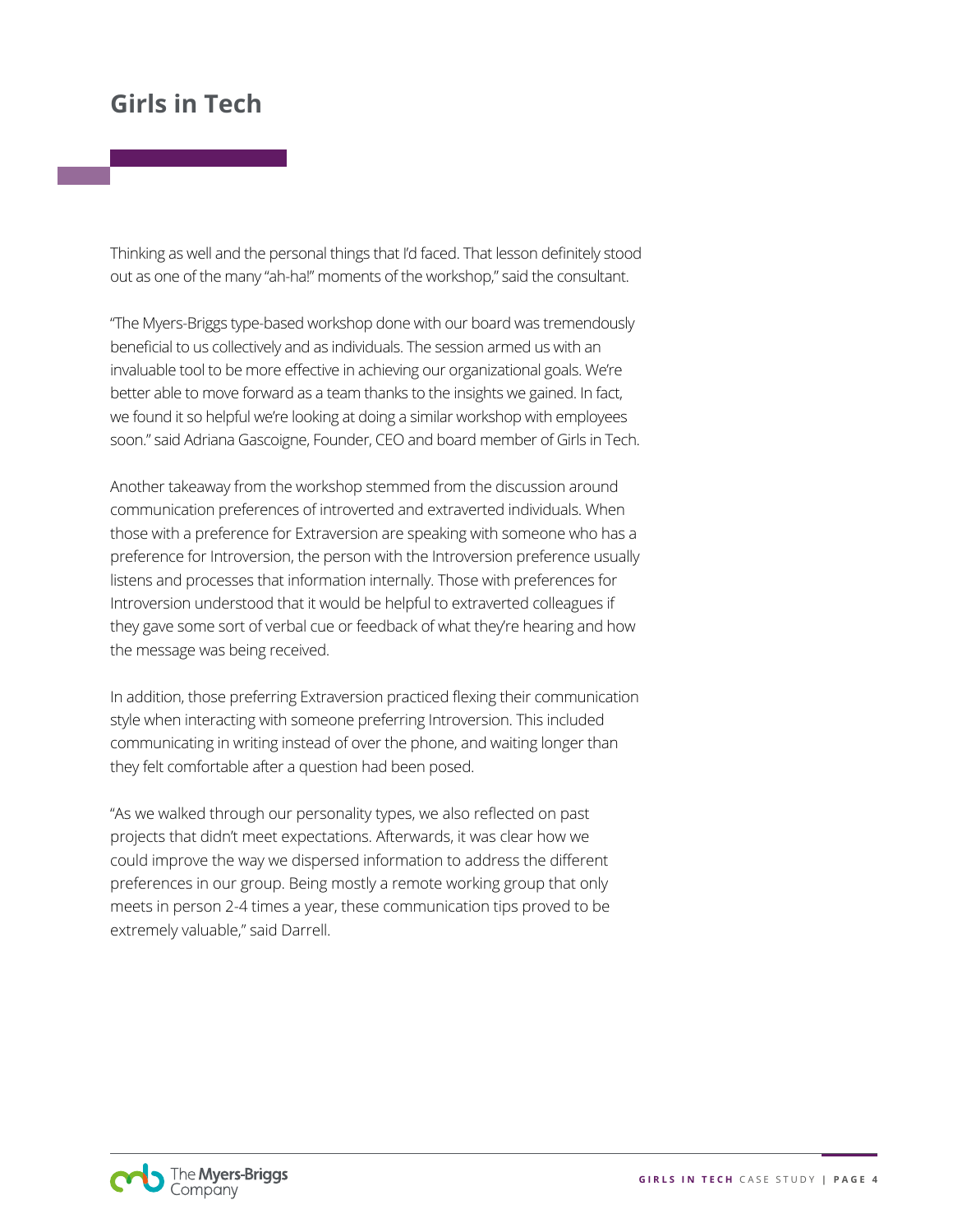Thinking as well and the personal things that I'd faced. That lesson definitely stood out as one of the many "ah-ha!" moments of the workshop," said the consultant.

"The Myers-Briggs type-based workshop done with our board was tremendously beneficial to us collectively and as individuals. The session armed us with an invaluable tool to be more effective in achieving our organizational goals. We're better able to move forward as a team thanks to the insights we gained. In fact, we found it so helpful we're looking at doing a similar workshop with employees soon." said Adriana Gascoigne, Founder, CEO and board member of Girls in Tech.

Another takeaway from the workshop stemmed from the discussion around communication preferences of introverted and extraverted individuals. When those with a preference for Extraversion are speaking with someone who has a preference for Introversion, the person with the Introversion preference usually listens and processes that information internally. Those with preferences for Introversion understood that it would be helpful to extraverted colleagues if they gave some sort of verbal cue or feedback of what they're hearing and how the message was being received.

In addition, those preferring Extraversion practiced flexing their communication style when interacting with someone preferring Introversion. This included communicating in writing instead of over the phone, and waiting longer than they felt comfortable after a question had been posed.

"As we walked through our personality types, we also reflected on past projects that didn't meet expectations. Afterwards, it was clear how we could improve the way we dispersed information to address the different preferences in our group. Being mostly a remote working group that only meets in person 2-4 times a year, these communication tips proved to be extremely valuable," said Darrell.

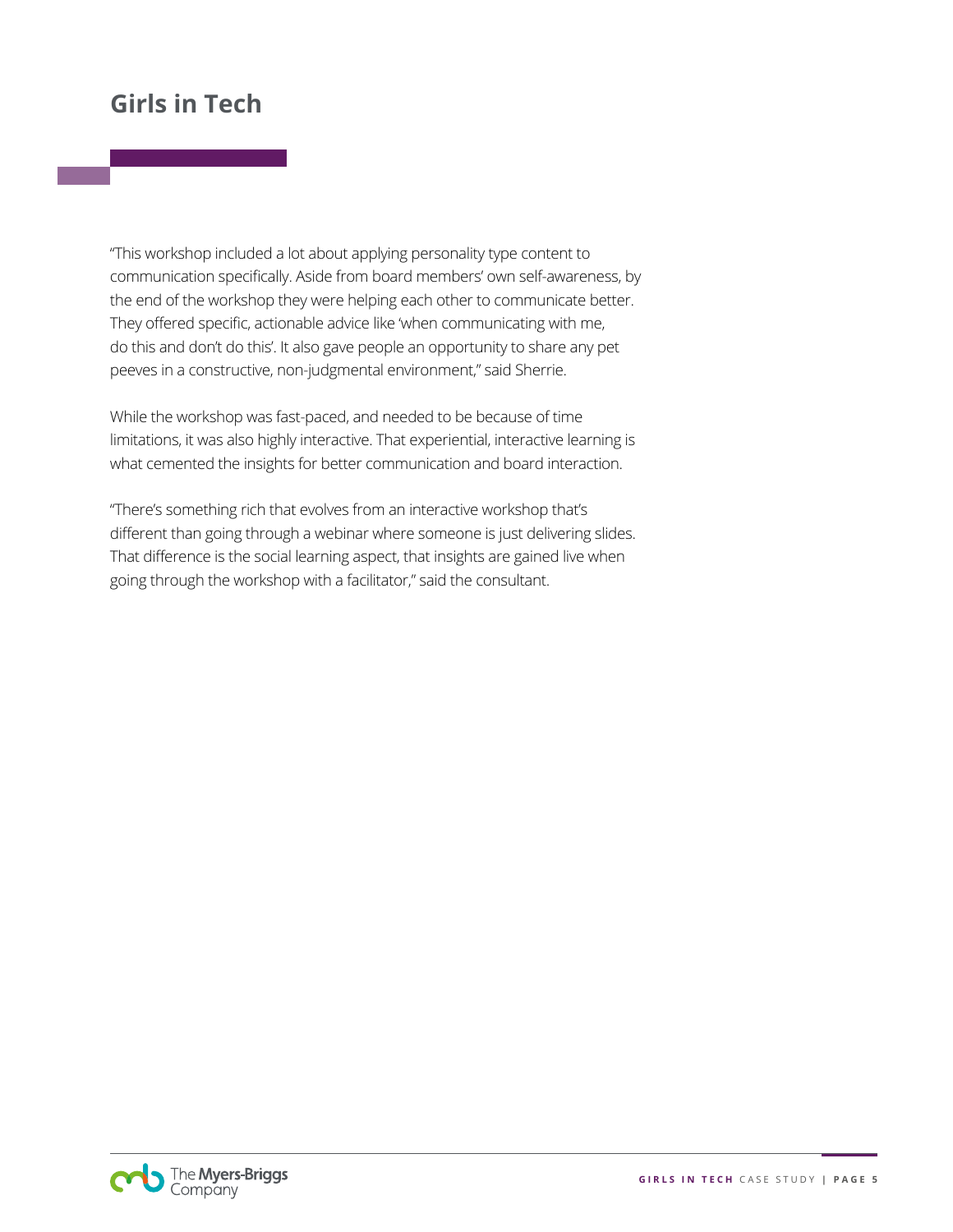"This workshop included a lot about applying personality type content to communication specifically. Aside from board members' own self-awareness, by the end of the workshop they were helping each other to communicate better. They offered specific, actionable advice like 'when communicating with me, do this and don't do this'. It also gave people an opportunity to share any pet peeves in a constructive, non-judgmental environment," said Sherrie.

While the workshop was fast-paced, and needed to be because of time limitations, it was also highly interactive. That experiential, interactive learning is what cemented the insights for better communication and board interaction.

"There's something rich that evolves from an interactive workshop that's different than going through a webinar where someone is just delivering slides. That difference is the social learning aspect, that insights are gained live when going through the workshop with a facilitator," said the consultant.